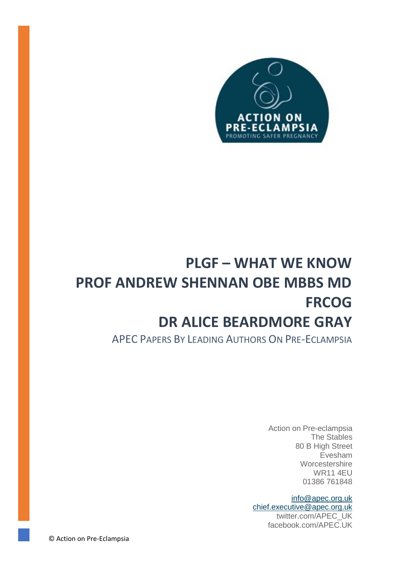

# **PLGF – WHAT WE KNOW PROF ANDREW SHENNAN OBE MBBS MD FRCOG DR ALICE BEARDMORE GRAY**

APEC PAPERS BY LEADING AUTHORS ON PRE-ECLAMPSIA

Action on Pre-eclampsia The Stables 80 B High Street Evesham **Worcestershire** WR11 4EU 01386 761848

[info@apec.org.uk](mailto:info@apec.org.uk) [chief.executive@apec.org.uk](mailto:chief.executive@apec.org.uk) twitter.com/APEC\_UK facebook.com/APEC.UK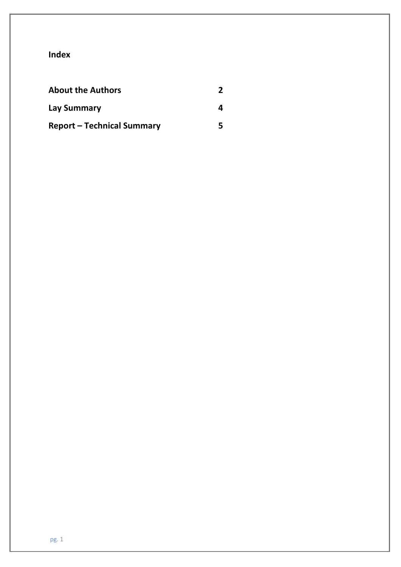# **Index**

| <b>About the Authors</b>          |  |
|-----------------------------------|--|
| <b>Lay Summary</b>                |  |
| <b>Report - Technical Summary</b> |  |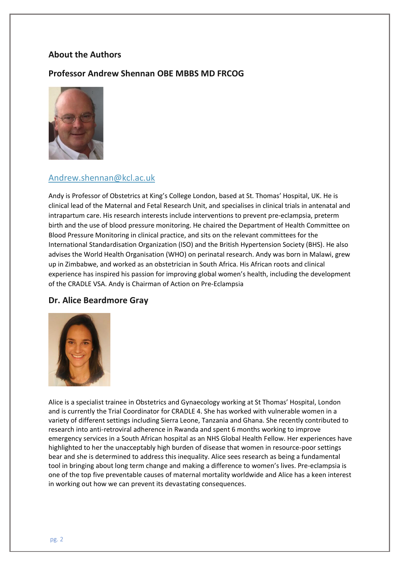# **About the Authors**

## **Professor Andrew Shennan OBE MBBS MD FRCOG**



# [Andrew.shennan@kcl.ac.uk](mailto:Andrew.shennan@kcl.ac.uk)

Andy is Professor of Obstetrics at King's College London, based at St. Thomas' Hospital, UK. He is clinical lead of the Maternal and Fetal Research Unit, and specialises in clinical trials in antenatal and intrapartum care. His research interests include interventions to prevent pre-eclampsia, preterm birth and the use of blood pressure monitoring. He chaired the Department of Health Committee on Blood Pressure Monitoring in clinical practice, and sits on the relevant committees for the International Standardisation Organization (ISO) and the British Hypertension Society (BHS). He also advises the World Health Organisation (WHO) on perinatal research. Andy was born in Malawi, grew up in Zimbabwe, and worked as an obstetrician in South Africa. His African roots and clinical experience has inspired his passion for improving global women's health, including the development of the CRADLE VSA. Andy is Chairman of Action on Pre-Eclampsia

#### **Dr. Alice Beardmore Gray**



Alice is a specialist trainee in Obstetrics and Gynaecology working at St Thomas' Hospital, London and is currently the Trial Coordinator for CRADLE 4. She has worked with vulnerable women in a variety of different settings including Sierra Leone, Tanzania and Ghana. She recently contributed to research into anti-retroviral adherence in Rwanda and spent 6 months working to improve emergency services in a South African hospital as an NHS Global Health Fellow. Her experiences have highlighted to her the unacceptably high burden of disease that women in resource-poor settings bear and she is determined to address this inequality. Alice sees research as being a fundamental tool in bringing about long term change and making a difference to women's lives. Pre-eclampsia is one of the top five preventable causes of maternal mortality worldwide and Alice has a keen interest in working out how we can prevent its devastating consequences.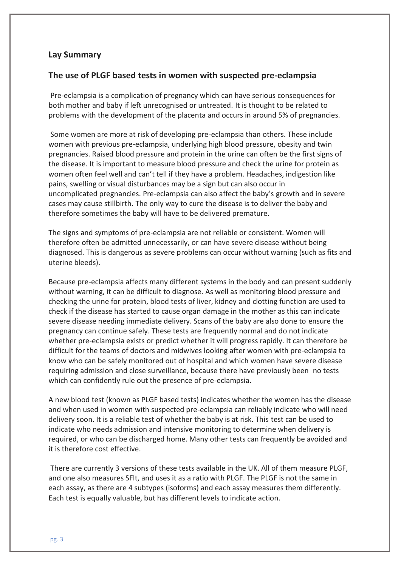### **Lay Summary**

#### **The use of PLGF based tests in women with suspected pre-eclampsia**

Pre-eclampsia is a complication of pregnancy which can have serious consequences for both mother and baby if left unrecognised or untreated. It is thought to be related to problems with the development of the placenta and occurs in around 5% of pregnancies.

Some women are more at risk of developing pre-eclampsia than others. These include women with previous pre-eclampsia, underlying high blood pressure, obesity and twin pregnancies. Raised blood pressure and protein in the urine can often be the first signs of the disease. It is important to measure blood pressure and check the urine for protein as women often feel well and can't tell if they have a problem. Headaches, indigestion like pains, swelling or visual disturbances may be a sign but can also occur in uncomplicated pregnancies. Pre-eclampsia can also affect the baby's growth and in severe cases may cause stillbirth. The only way to cure the disease is to deliver the baby and therefore sometimes the baby will have to be delivered premature.

The signs and symptoms of pre-eclampsia are not reliable or consistent. Women will therefore often be admitted unnecessarily, or can have severe disease without being diagnosed. This is dangerous as severe problems can occur without warning (such as fits and uterine bleeds).

Because pre-eclampsia affects many different systems in the body and can present suddenly without warning, it can be difficult to diagnose. As well as monitoring blood pressure and checking the urine for protein, blood tests of liver, kidney and clotting function are used to check if the disease has started to cause organ damage in the mother as this can indicate severe disease needing immediate delivery. Scans of the baby are also done to ensure the pregnancy can continue safely. These tests are frequently normal and do not indicate whether pre-eclampsia exists or predict whether it will progress rapidly. It can therefore be difficult for the teams of doctors and midwives looking after women with pre-eclampsia to know who can be safely monitored out of hospital and which women have severe disease requiring admission and close surveillance, because there have previously been no tests which can confidently rule out the presence of pre-eclampsia.

A new blood test (known as PLGF based tests) indicates whether the women has the disease and when used in women with suspected pre-eclampsia can reliably indicate who will need delivery soon. It is a reliable test of whether the baby is at risk. This test can be used to indicate who needs admission and intensive monitoring to determine when delivery is required, or who can be discharged home. Many other tests can frequently be avoided and it is therefore cost effective.

There are currently 3 versions of these tests available in the UK. All of them measure PLGF, and one also measures SFlt, and uses it as a ratio with PLGF. The PLGF is not the same in each assay, as there are 4 subtypes (isoforms) and each assay measures them differently. Each test is equally valuable, but has different levels to indicate action.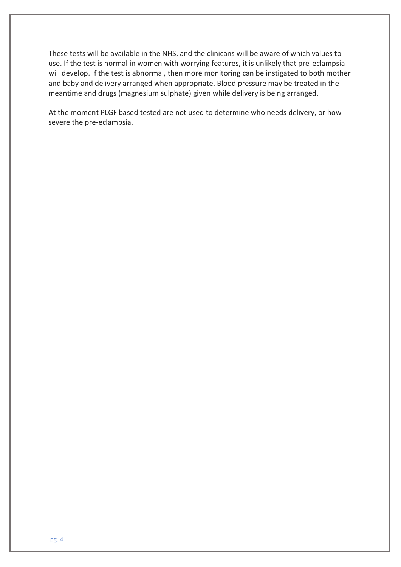These tests will be available in the NHS, and the clinicans will be aware of which values to use. If the test is normal in women with worrying features, it is unlikely that pre-eclampsia will develop. If the test is abnormal, then more monitoring can be instigated to both mother and baby and delivery arranged when appropriate. Blood pressure may be treated in the meantime and drugs (magnesium sulphate) given while delivery is being arranged.

At the moment PLGF based tested are not used to determine who needs delivery, or how severe the pre-eclampsia.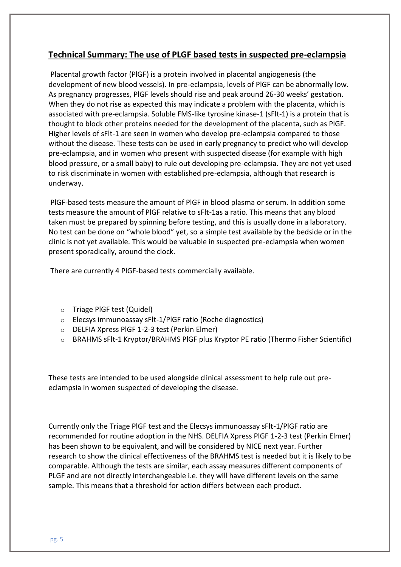# **Technical Summary: The use of PLGF based tests in suspected pre-eclampsia**

Placental growth factor (PlGF) is a protein involved in placental angiogenesis (the development of new blood vessels). In pre-eclampsia, levels of PlGF can be abnormally low. As pregnancy progresses, PlGF levels should rise and peak around 26-30 weeks' gestation. When they do not rise as expected this may indicate a problem with the placenta, which is associated with pre-eclampsia. Soluble FMS-like tyrosine kinase-1 (sFlt-1) is a protein that is thought to block other proteins needed for the development of the placenta, such as PlGF. Higher levels of sFlt-1 are seen in women who develop pre-eclampsia compared to those without the disease. These tests can be used in early pregnancy to predict who will develop pre-eclampsia, and in women who present with suspected disease (for example with high blood pressure, or a small baby) to rule out developing pre-eclampsia. They are not yet used to risk discriminate in women with established pre-eclampsia, although that research is underway.

PlGF-based tests measure the amount of PlGF in blood plasma or serum. In addition some tests measure the amount of PlGF relative to sFlt-1as a ratio. This means that any blood taken must be prepared by spinning before testing, and this is usually done in a laboratory. No test can be done on "whole blood" yet, so a simple test available by the bedside or in the clinic is not yet available. This would be valuable in suspected pre-eclampsia when women present sporadically, around the clock.

There are currently 4 PlGF-based tests commercially available.

- o Triage PlGF test (Quidel)
- o Elecsys immunoassay sFlt-1/PlGF ratio (Roche diagnostics)
- o DELFIA Xpress PlGF 1-2-3 test (Perkin Elmer)
- o BRAHMS sFlt-1 Kryptor/BRAHMS PlGF plus Kryptor PE ratio (Thermo Fisher Scientific)

These tests are intended to be used alongside clinical assessment to help rule out preeclampsia in women suspected of developing the disease.

Currently only the Triage PlGF test and the Elecsys immunoassay sFlt-1/PlGF ratio are recommended for routine adoption in the NHS. DELFIA Xpress PlGF 1-2-3 test (Perkin Elmer) has been shown to be equivalent, and will be considered by NICE next year. Further research to show the clinical effectiveness of the BRAHMS test is needed but it is likely to be comparable. Although the tests are similar, each assay measures different components of PLGF and are not directly interchangeable i.e. they will have different levels on the same sample. This means that a threshold for action differs between each product.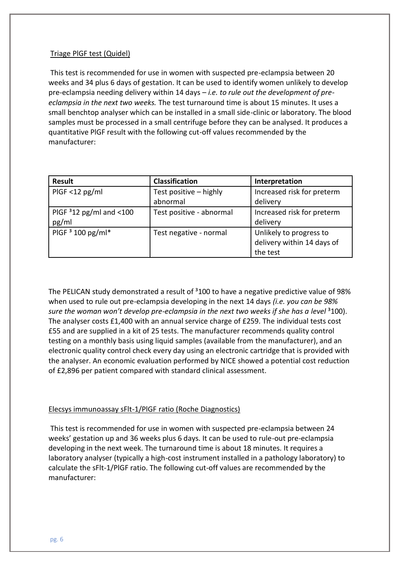#### Triage PlGF test (Quidel)

This test is recommended for use in women with suspected pre-eclampsia between 20 weeks and 34 plus 6 days of gestation. It can be used to identify women unlikely to develop pre-eclampsia needing delivery within 14 days *– i.e. to rule out the development of preeclampsia in the next two weeks.* The test turnaround time is about 15 minutes. It uses a small benchtop analyser which can be installed in a small side-clinic or laboratory. The blood samples must be processed in a small centrifuge before they can be analysed. It produces a quantitative PlGF result with the following cut-off values recommended by the manufacturer:

| <b>Result</b>             | <b>Classification</b>    | Interpretation             |
|---------------------------|--------------------------|----------------------------|
| $PIGF < 12$ pg/ml         | Test positive - highly   | Increased risk for preterm |
|                           | abnormal                 | delivery                   |
| PIGF $312$ pg/ml and <100 | Test positive - abnormal | Increased risk for preterm |
| pg/ml                     |                          | delivery                   |
| PIGF $3$ 100 pg/ml*       | Test negative - normal   | Unlikely to progress to    |
|                           |                          | delivery within 14 days of |
|                           |                          | the test                   |

The PELICAN study demonstrated a result of  $3100$  to have a negative predictive value of 98% when used to rule out pre-eclampsia developing in the next 14 days *(i.e. you can be 98% sure the woman won't develop pre-eclampsia in the next two weeks if she has a level* <sup>3</sup>100). The analyser costs £1,400 with an annual service charge of £259. The individual tests cost £55 and are supplied in a kit of 25 tests. The manufacturer recommends quality control testing on a monthly basis using liquid samples (available from the manufacturer), and an electronic quality control check every day using an electronic cartridge that is provided with the analyser. An economic evaluation performed by NICE showed a potential cost reduction of £2,896 per patient compared with standard clinical assessment.

#### Elecsys immunoassay sFlt-1/PlGF ratio (Roche Diagnostics)

This test is recommended for use in women with suspected pre-eclampsia between 24 weeks' gestation up and 36 weeks plus 6 days. It can be used to rule-out pre-eclampsia developing in the next week. The turnaround time is about 18 minutes. It requires a laboratory analyser (typically a high-cost instrument installed in a pathology laboratory) to calculate the sFlt-1/PlGF ratio. The following cut-off values are recommended by the manufacturer: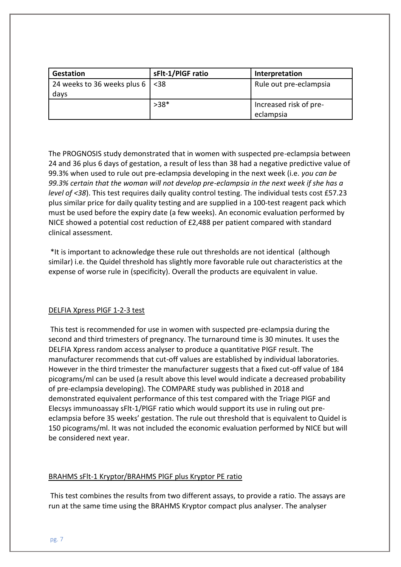| Gestation                             | sFlt-1/PIGF ratio | Interpretation         |
|---------------------------------------|-------------------|------------------------|
| 24 weeks to 36 weeks plus $6 \mid 38$ |                   | Rule out pre-eclampsia |
| days                                  |                   |                        |
|                                       | $>38*$            | Increased risk of pre- |
|                                       |                   | eclampsia              |

The PROGNOSIS study demonstrated that in women with suspected pre-eclampsia between 24 and 36 plus 6 days of gestation, a result of less than 38 had a negative predictive value of 99.3% when used to rule out pre-eclampsia developing in the next week (i.e. *you can be 99.3% certain that the woman will not develop pre-eclampsia in the next week if she has a level of <38*). This test requires daily quality control testing. The individual tests cost £57.23 plus similar price for daily quality testing and are supplied in a 100-test reagent pack which must be used before the expiry date (a few weeks). An economic evaluation performed by NICE showed a potential cost reduction of £2,488 per patient compared with standard clinical assessment.

\*It is important to acknowledge these rule out thresholds are not identical (although similar) i.e. the Quidel threshold has slightly more favorable rule out characteristics at the expense of worse rule in (specificity). Overall the products are equivalent in value.

#### DELFIA Xpress PlGF 1-2-3 test

This test is recommended for use in women with suspected pre-eclampsia during the second and third trimesters of pregnancy. The turnaround time is 30 minutes. It uses the DELFIA Xpress random access analyser to produce a quantitative PlGF result. The manufacturer recommends that cut-off values are established by individual laboratories. However in the third trimester the manufacturer suggests that a fixed cut-off value of 184 picograms/ml can be used (a result above this level would indicate a decreased probability of pre-eclampsia developing). The COMPARE study was published in 2018 and demonstrated equivalent performance of this test compared with the Triage PlGF and Elecsys immunoassay sFlt-1/PlGF ratio which would support its use in ruling out preeclampsia before 35 weeks' gestation. The rule out threshold that is equivalent to Quidel is 150 picograms/ml. It was not included the economic evaluation performed by NICE but will be considered next year.

#### BRAHMS sFlt-1 Kryptor/BRAHMS PlGF plus Kryptor PE ratio

This test combines the results from two different assays, to provide a ratio. The assays are run at the same time using the BRAHMS Kryptor compact plus analyser. The analyser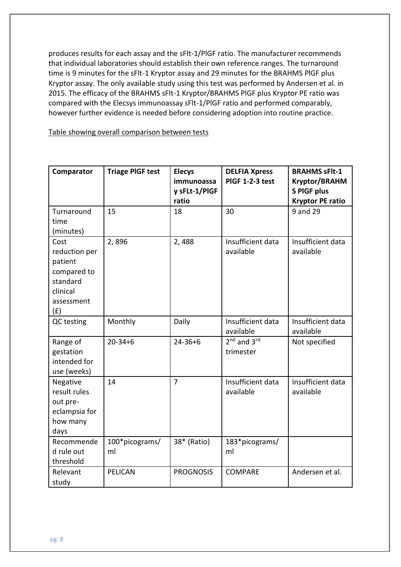produces results for each assay and the sFlt-1/PlGF ratio. The manufacturer recommends that individual laboratories should establish their own reference ranges. The turnaround time is 9 minutes for the sFlt-1 Kryptor assay and 29 minutes for the BRAHMS PlGF plus Kryptor assay. The only available study using this test was performed by Andersen et al. in 2015. The efficacy of the BRAHMS sFlt-1 Kryptor/BRAHMS PlGF plus Kryptor PE ratio was compared with the Elecsys immunoassay sFlt-1/PlGF ratio and performed comparably, however further evidence is needed before considering adoption into routine practice.

Table showing overall comparison between tests

| Comparator                                                                                   | <b>Triage PIGF test</b> | <b>Elecys</b><br>immunoassa<br>y sFLt-1/PIGF<br>ratio | <b>DELFIA Xpress</b><br>PIGF 1-2-3 test | <b>BRAHMS sFlt-1</b><br><b>Kryptor/BRAHM</b><br><b>S PIGF plus</b><br><b>Kryptor PE ratio</b> |
|----------------------------------------------------------------------------------------------|-------------------------|-------------------------------------------------------|-----------------------------------------|-----------------------------------------------------------------------------------------------|
| Turnaround<br>time<br>(minutes)                                                              | 15                      | 18                                                    | 30                                      | 9 and 29                                                                                      |
| Cost<br>reduction per<br>patient<br>compared to<br>standard<br>clinical<br>assessment<br>(f) | 2,896                   | 2,488                                                 | Insufficient data<br>available          | Insufficient data<br>available                                                                |
| QC testing                                                                                   | Monthly                 | Daily                                                 | Insufficient data<br>available          | Insufficient data<br>available                                                                |
| Range of<br>gestation<br>intended for<br>use (weeks)                                         | $20 - 34 + 6$           | $24 - 36 + 6$                                         | $2nd$ and $3rd$<br>trimester            | Not specified                                                                                 |
| Negative<br>result rules<br>out pre-<br>eclampsia for<br>how many<br>days                    | 14                      | $\overline{7}$                                        | Insufficient data<br>available          | Insufficient data<br>available                                                                |
| Recommende<br>d rule out<br>threshold                                                        | 100*picograms/<br>ml    | 38* (Ratio)                                           | 183*picograms/<br>ml                    |                                                                                               |
| Relevant<br>study                                                                            | <b>PELICAN</b>          | <b>PROGNOSIS</b>                                      | <b>COMPARE</b>                          | Andersen et al.                                                                               |